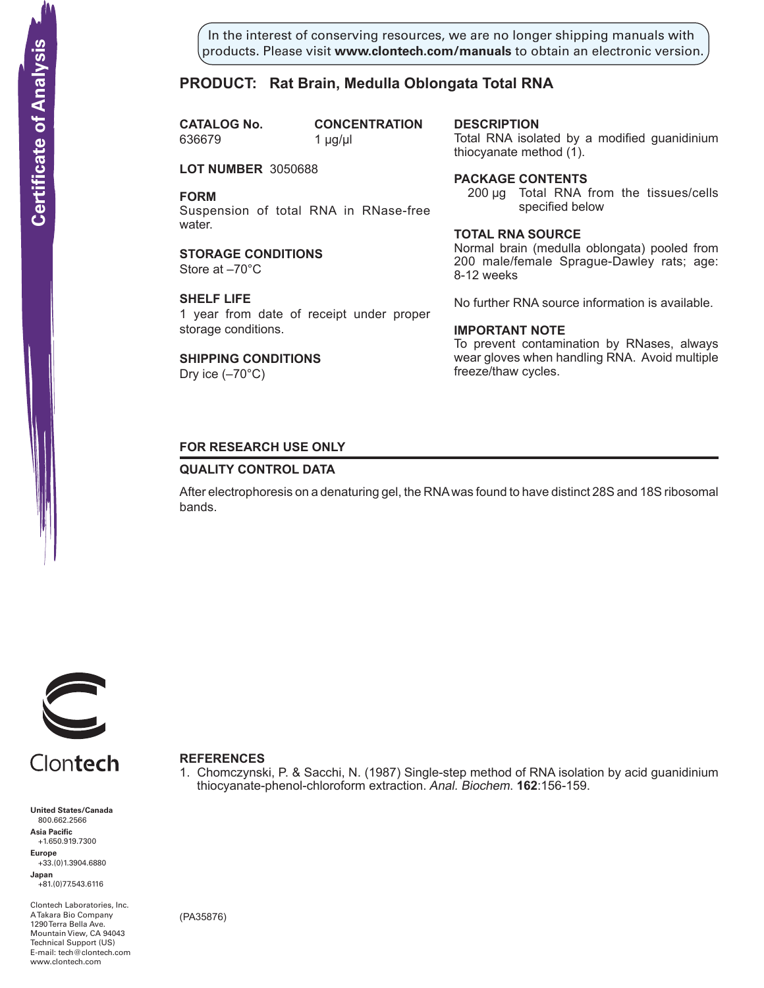In the interest of conserving resources, we are no longer shipping manuals with products. Please visit **www.clontech.com/manuals** to obtain an electronic version.

# **PRODUCT: Rat Brain, Medulla Oblongata Total RNA**

**CATALOG** No. 636679 1 µg/µl

**CONCENTRATION** 

**LOT NUMBER** 3050688

**FORM** Suspension of total RNA in RNase-free water.

**STORAGE CONDITIONS** Store at –70°C

**SHELF LIFE** 1 year from date of receipt under proper storage conditions.

**SHIPPING CONDITIONS**

Dry ice (–70°C)

**description**

Total RNA isolated by a modified guanidinium thiocyanate method (1).

## **Package Contents**

200 µg Total RNA from the tissues/cells specified below

### **Total RNA source**

Normal brain (medulla oblongata) pooled from 200 male/female Sprague-Dawley rats; age: 8-12 weeks

No further RNA source information is available.

# **IMPORTANT NOTE**

To prevent contamination by RNases, always wear gloves when handling RNA. Avoid multiple freeze/thaw cycles.

### **FOR RESEARCH USE ONLY**

### **QUALITY CONTROL DATA**

After electrophoresis on a denaturing gel, the RNA was found to have distinct 28S and 18S ribosomal bands.



# Clontech

**United States/Canada** 800.662.2566 **Asia Pacific** +1.650.919.7300 **Europe** +33.(0)1.3904.6880 **Japan** +81.(0)77.543.6116 **Solution Control Control Control Control Control Control Control Control Control Control Control Control Control Control Control Control Control Control Control Control Control Control Control Control Control Control Cont** 

Clontech Laboratories, Inc. A Takara Bio Company 1290 Terra Bella Ave. Mountain View, CA 94043 Technical Support (US) E-mail: tech@clontech.com

(PA35876)



# **References**

1. Chomczynski, P. & Sacchi, N. (1987) Single-step method of RNA isolation by acid guanidinium thiocyanate-phenol-chloroform extraction. Anal. Biochem. **162**:156-159.